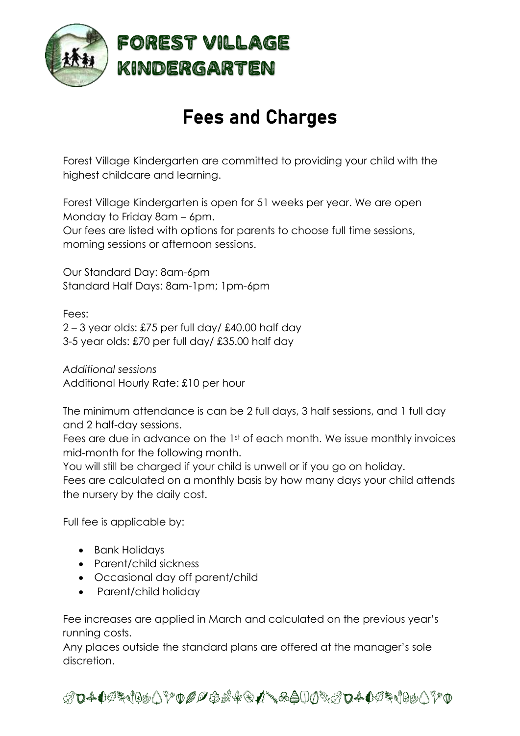

# Fees and Charges

Forest Village Kindergarten are committed to providing your child with the highest childcare and learning.

Forest Village Kindergarten is open for 51 weeks per year. We are open Monday to Friday 8am – 6pm. Our fees are listed with options for parents to choose full time sessions, morning sessions or afternoon sessions.

Our Standard Day: 8am-6pm Standard Half Days: 8am-1pm; 1pm-6pm

Fees:

 $2 - 3$  year olds: £75 per full day/ £40.00 half day 3-5 year olds: £70 per full day/ £35.00 half day

*Additional sessions* Additional Hourly Rate: £10 per hour

The minimum attendance is can be 2 full days, 3 half sessions, and 1 full day and 2 half-day sessions.

Fees are due in advance on the 1st of each month. We issue monthly invoices mid-month for the following month.

You will still be charged if your child is unwell or if you go on holiday.

Fees are calculated on a monthly basis by how many days your child attends the nursery by the daily cost.

Full fee is applicable by:

- Bank Holidays
- Parent/child sickness
- Occasional day off parent/child
- Parent/child holiday

Fee increases are applied in March and calculated on the previous year's running costs.

Any places outside the standard plans are offered at the manager's sole discretion.

ABCDEFGHIJKLMNOPQRSTVWXYZABCDEFGHIJKL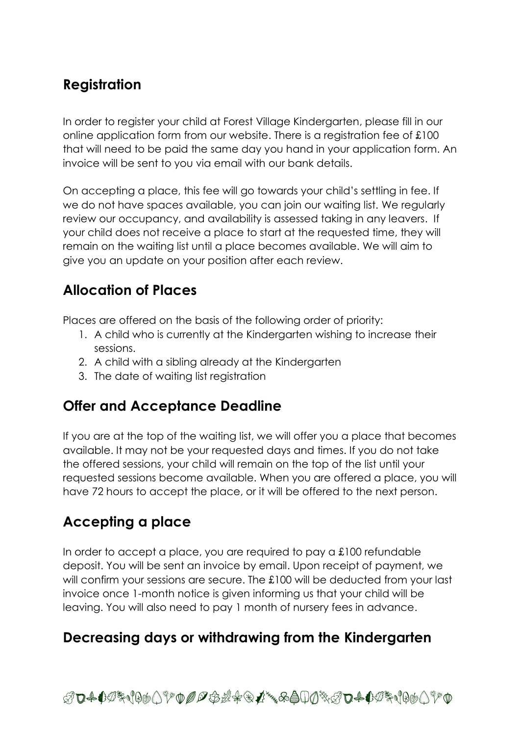### **Registration**

In order to register your child at Forest Village Kindergarten, please fill in our online application form from our website. There is a registration fee of £100 that will need to be paid the same day you hand in your application form. An invoice will be sent to you via email with our bank details.

On accepting a place, this fee will go towards your child's settling in fee. If we do not have spaces available, you can join our waiting list. We regularly review our occupancy, and availability is assessed taking in any leavers. If your child does not receive a place to start at the requested time, they will remain on the waiting list until a place becomes available. We will aim to give you an update on your position after each review.

## **Allocation of Places**

Places are offered on the basis of the following order of priority:

- 1. A child who is currently at the Kindergarten wishing to increase their sessions.
- 2. A child with a sibling already at the Kindergarten
- 3. The date of waiting list registration

## **Offer and Acceptance Deadline**

If you are at the top of the waiting list, we will offer you a place that becomes available. It may not be your requested days and times. If you do not take the offered sessions, your child will remain on the top of the list until your requested sessions become available. When you are offered a place, you will have 72 hours to accept the place, or it will be offered to the next person.

# **Accepting a place**

In order to accept a place, you are required to pay a £100 refundable deposit. You will be sent an invoice by email. Upon receipt of payment, we will confirm your sessions are secure. The £100 will be deducted from your last invoice once 1-month notice is given informing us that your child will be leaving. You will also need to pay 1 month of nursery fees in advance.

#### **Decreasing days or withdrawing from the Kindergarten**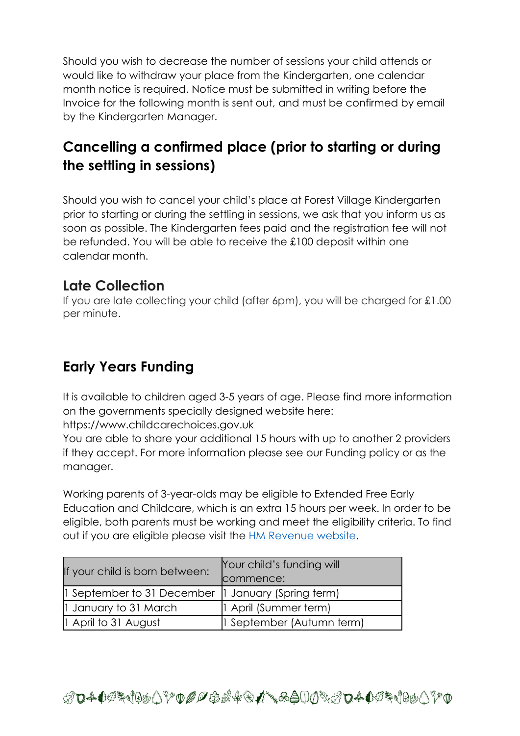Should you wish to decrease the number of sessions your child attends or would like to withdraw your place from the Kindergarten, one calendar month notice is required. Notice must be submitted in writing before the Invoice for the following month is sent out, and must be confirmed by email by the Kindergarten Manager.

## **Cancelling a confirmed place (prior to starting or during the settling in sessions)**

Should you wish to cancel your child's place at Forest Village Kindergarten prior to starting or during the settling in sessions, we ask that you inform us as soon as possible. The Kindergarten fees paid and the registration fee will not be refunded. You will be able to receive the £100 deposit within one calendar month.

#### **Late Collection**

If you are late collecting your child (after 6pm), you will be charged for £1.00 per minute.

## **Early Years Funding**

It is available to children aged 3-5 years of age. Please find more information on the governments specially designed website here:

https://www.childcarechoices.gov.uk

You are able to share your additional 15 hours with up to another 2 providers if they accept. For more information please see our Funding policy or as the manager.

Working parents of 3-year-olds may be eligible to Extended Free Early Education and Childcare, which is an extra 15 hours per week. In order to be eligible, both parents must be working and meet the eligibility criteria. To find out if you are eligible please visit the [HM Revenue website.](https://www.gov.uk/apply-30-hours-free-childcare)

| If your child is born between: | Your child's funding will |
|--------------------------------|---------------------------|
|                                | commence:                 |
| 1 September to 31 December     | 1 January (Spring term)   |
| 1 January to 31 March          | 1 April (Summer term)     |
| 1 April to 31 August           | 1 September (Autumn term) |

ABCDEFGHIJKLMNOPQRSTVWXYZABCDEFGHIJKL